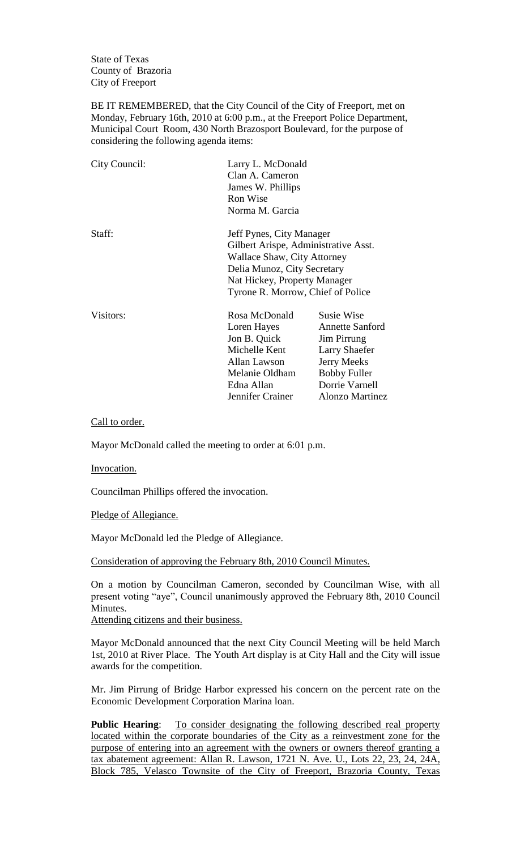State of Texas County of Brazoria City of Freeport

BE IT REMEMBERED, that the City Council of the City of Freeport, met on Monday, February 16th, 2010 at 6:00 p.m., at the Freeport Police Department, Municipal Court Room, 430 North Brazosport Boulevard, for the purpose of considering the following agenda items:

| City Council: | Larry L. McDonald<br>Clan A. Cameron<br>James W. Phillips<br>Ron Wise<br>Norma M. Garcia                                                                                                            |                                                                                                                                                               |
|---------------|-----------------------------------------------------------------------------------------------------------------------------------------------------------------------------------------------------|---------------------------------------------------------------------------------------------------------------------------------------------------------------|
| Staff:        | Jeff Pynes, City Manager<br>Gilbert Arispe, Administrative Asst.<br>Wallace Shaw, City Attorney<br>Delia Munoz, City Secretary<br>Nat Hickey, Property Manager<br>Tyrone R. Morrow, Chief of Police |                                                                                                                                                               |
| Visitors:     | Rosa McDonald<br>Loren Hayes<br>Jon B. Quick<br>Michelle Kent<br>Allan Lawson<br>Melanie Oldham<br>Edna Allan<br>Jennifer Crainer                                                                   | Susie Wise<br><b>Annette Sanford</b><br>Jim Pirrung<br><b>Larry Shaefer</b><br><b>Jerry Meeks</b><br><b>Bobby Fuller</b><br>Dorrie Varnell<br>Alonzo Martinez |

Call to order.

Mayor McDonald called the meeting to order at 6:01 p.m.

Invocation.

Councilman Phillips offered the invocation.

Pledge of Allegiance.

Mayor McDonald led the Pledge of Allegiance.

Consideration of approving the February 8th, 2010 Council Minutes.

On a motion by Councilman Cameron, seconded by Councilman Wise, with all present voting "aye", Council unanimously approved the February 8th, 2010 Council Minutes.

Attending citizens and their business.

Mayor McDonald announced that the next City Council Meeting will be held March 1st, 2010 at River Place. The Youth Art display is at City Hall and the City will issue awards for the competition.

Mr. Jim Pirrung of Bridge Harbor expressed his concern on the percent rate on the Economic Development Corporation Marina loan.

Public Hearing: To consider designating the following described real property located within the corporate boundaries of the City as a reinvestment zone for the purpose of entering into an agreement with the owners or owners thereof granting a tax abatement agreement: Allan R. Lawson, 1721 N. Ave. U., Lots 22, 23, 24, 24A, Block 785, Velasco Townsite of the City of Freeport, Brazoria County, Texas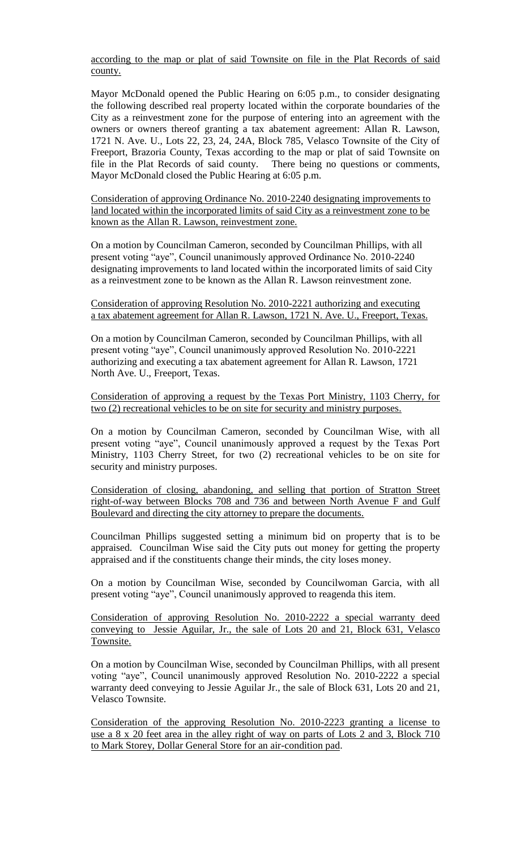according to the map or plat of said Townsite on file in the Plat Records of said county.

Mayor McDonald opened the Public Hearing on 6:05 p.m., to consider designating the following described real property located within the corporate boundaries of the City as a reinvestment zone for the purpose of entering into an agreement with the owners or owners thereof granting a tax abatement agreement: Allan R. Lawson, 1721 N. Ave. U., Lots 22, 23, 24, 24A, Block 785, Velasco Townsite of the City of Freeport, Brazoria County, Texas according to the map or plat of said Townsite on file in the Plat Records of said county. There being no questions or comments, Mayor McDonald closed the Public Hearing at 6:05 p.m.

Consideration of approving Ordinance No. 2010-2240 designating improvements to land located within the incorporated limits of said City as a reinvestment zone to be known as the Allan R. Lawson, reinvestment zone.

On a motion by Councilman Cameron, seconded by Councilman Phillips, with all present voting "aye", Council unanimously approved Ordinance No. 2010-2240 designating improvements to land located within the incorporated limits of said City as a reinvestment zone to be known as the Allan R. Lawson reinvestment zone.

Consideration of approving Resolution No. 2010-2221 authorizing and executing a tax abatement agreement for Allan R. Lawson, 1721 N. Ave. U., Freeport, Texas.

On a motion by Councilman Cameron, seconded by Councilman Phillips, with all present voting "aye", Council unanimously approved Resolution No. 2010-2221 authorizing and executing a tax abatement agreement for Allan R. Lawson, 1721 North Ave. U., Freeport, Texas.

## Consideration of approving a request by the Texas Port Ministry, 1103 Cherry, for two (2) recreational vehicles to be on site for security and ministry purposes.

On a motion by Councilman Cameron, seconded by Councilman Wise, with all present voting "aye", Council unanimously approved a request by the Texas Port Ministry, 1103 Cherry Street, for two (2) recreational vehicles to be on site for security and ministry purposes.

Consideration of closing, abandoning, and selling that portion of Stratton Street right-of-way between Blocks 708 and 736 and between North Avenue F and Gulf Boulevard and directing the city attorney to prepare the documents.

Councilman Phillips suggested setting a minimum bid on property that is to be appraised. Councilman Wise said the City puts out money for getting the property appraised and if the constituents change their minds, the city loses money.

On a motion by Councilman Wise, seconded by Councilwoman Garcia, with all present voting "aye", Council unanimously approved to reagenda this item.

Consideration of approving Resolution No. 2010-2222 a special warranty deed conveying to Jessie Aguilar, Jr., the sale of Lots 20 and 21, Block 631, Velasco Townsite.

On a motion by Councilman Wise, seconded by Councilman Phillips, with all present voting "aye", Council unanimously approved Resolution No. 2010-2222 a special warranty deed conveying to Jessie Aguilar Jr., the sale of Block 631, Lots 20 and 21, Velasco Townsite.

Consideration of the approving Resolution No. 2010-2223 granting a license to use a 8 x 20 feet area in the alley right of way on parts of Lots 2 and 3, Block 710 to Mark Storey, Dollar General Store for an air-condition pad.